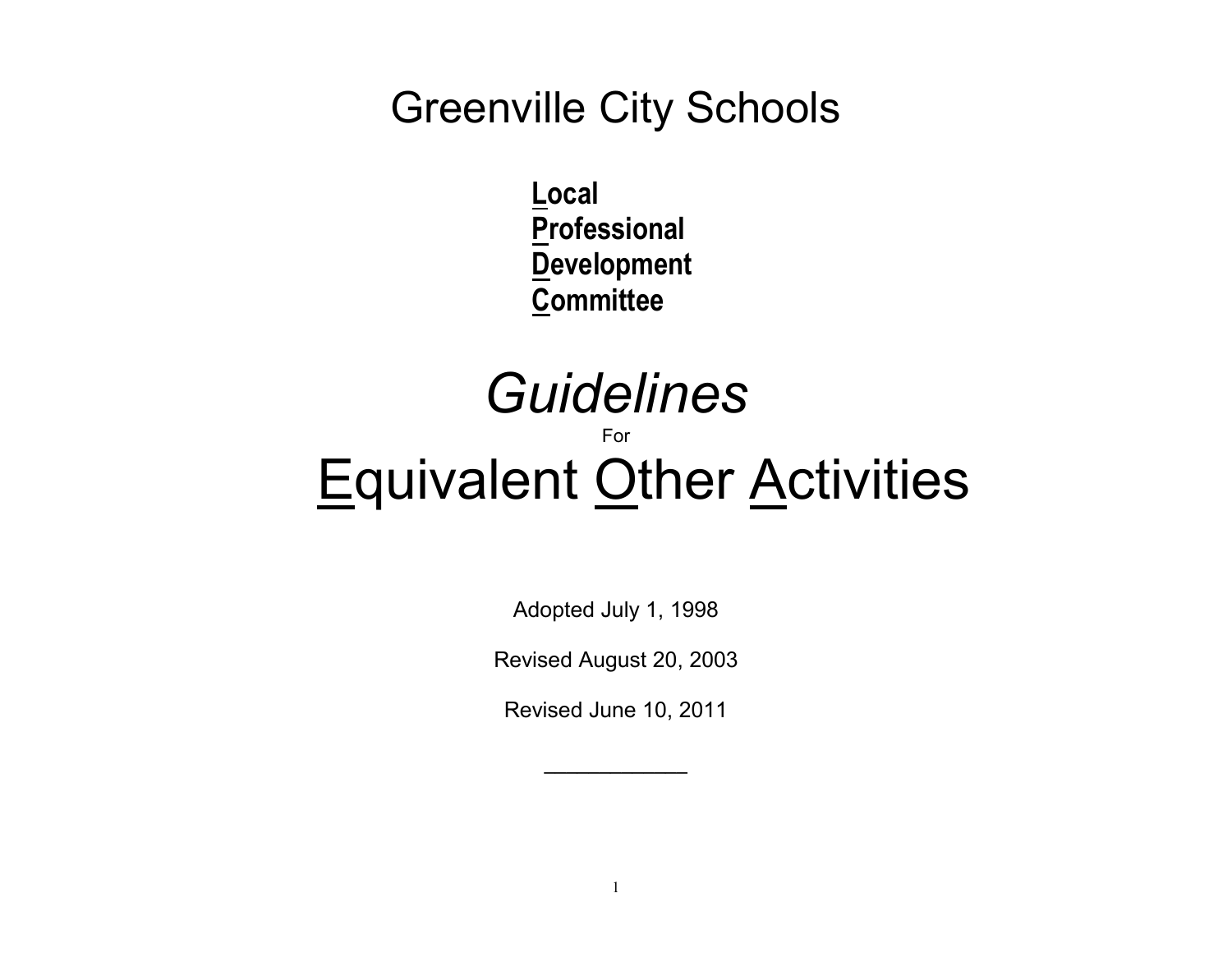## Greenville City Schools

**Local Professional Development Committee**

# *Guidelines* For **Equivalent Other Activities**

Adopted July 1, 1998

Revised August 20, 2003

Revised June 10, 2011

**\_\_\_\_\_\_\_\_\_\_\_\_\_**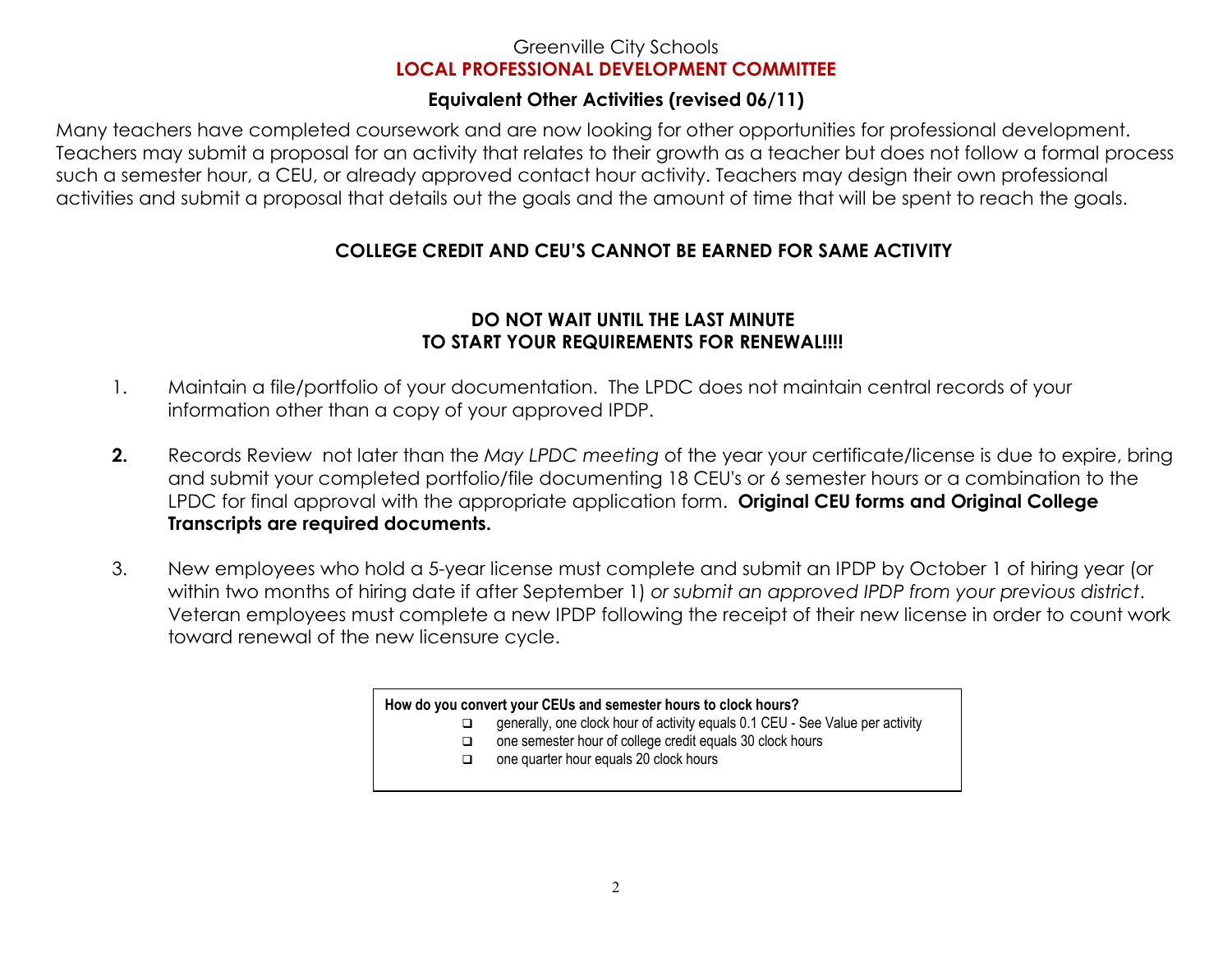#### Greenville City Schools **LOCAL PROFESSIONAL DEVELOPMENT COMMITTEE**

### **Equivalent Other Activities (revised 06/11)**

Many teachers have completed coursework and are now looking for other opportunities for professional development. Teachers may submit a proposal for an activity that relates to their growth as a teacher but does not follow a formal process such a semester hour, a CEU, or already approved contact hour activity. Teachers may design their own professional activities and submit a proposal that details out the goals and the amount of time that will be spent to reach the goals.

### **COLLEGE CREDIT AND CEU'S CANNOT BE EARNED FOR SAME ACTIVITY**

#### **DO NOT WAIT UNTIL THE LAST MINUTE TO START YOUR REQUIREMENTS FOR RENEWAL!!!!**

- 1. Maintain a file/portfolio of your documentation. The LPDC does not maintain central records of your information other than a copy of your approved IPDP.
- **2.** Records Review not later than the *May LPDC meeting* of the year your certificate/license is due to expire, bring and submit your completed portfolio/file documenting 18 CEU's or 6 semester hours or a combination to the LPDC for final approval with the appropriate application form. **Original CEU forms and Original College Transcripts are required documents.**
- 3. New employees who hold a 5-year license must complete and submit an IPDP by October 1 of hiring year (or within two months of hiring date if after September 1) *or submit an approved IPDP from your previous district*. Veteran employees must complete a new IPDP following the receipt of their new license in order to count work toward renewal of the new licensure cycle.

#### **How do you convert your CEUs and semester hours to clock hours?**

- □ generally, one clock hour of activity equals 0.1 CEU See Value per activity  $\Box$
- $\Box$ one semester hour of college credit equals 30 clock hours
- $\Box$ one quarter hour equals 20 clock hours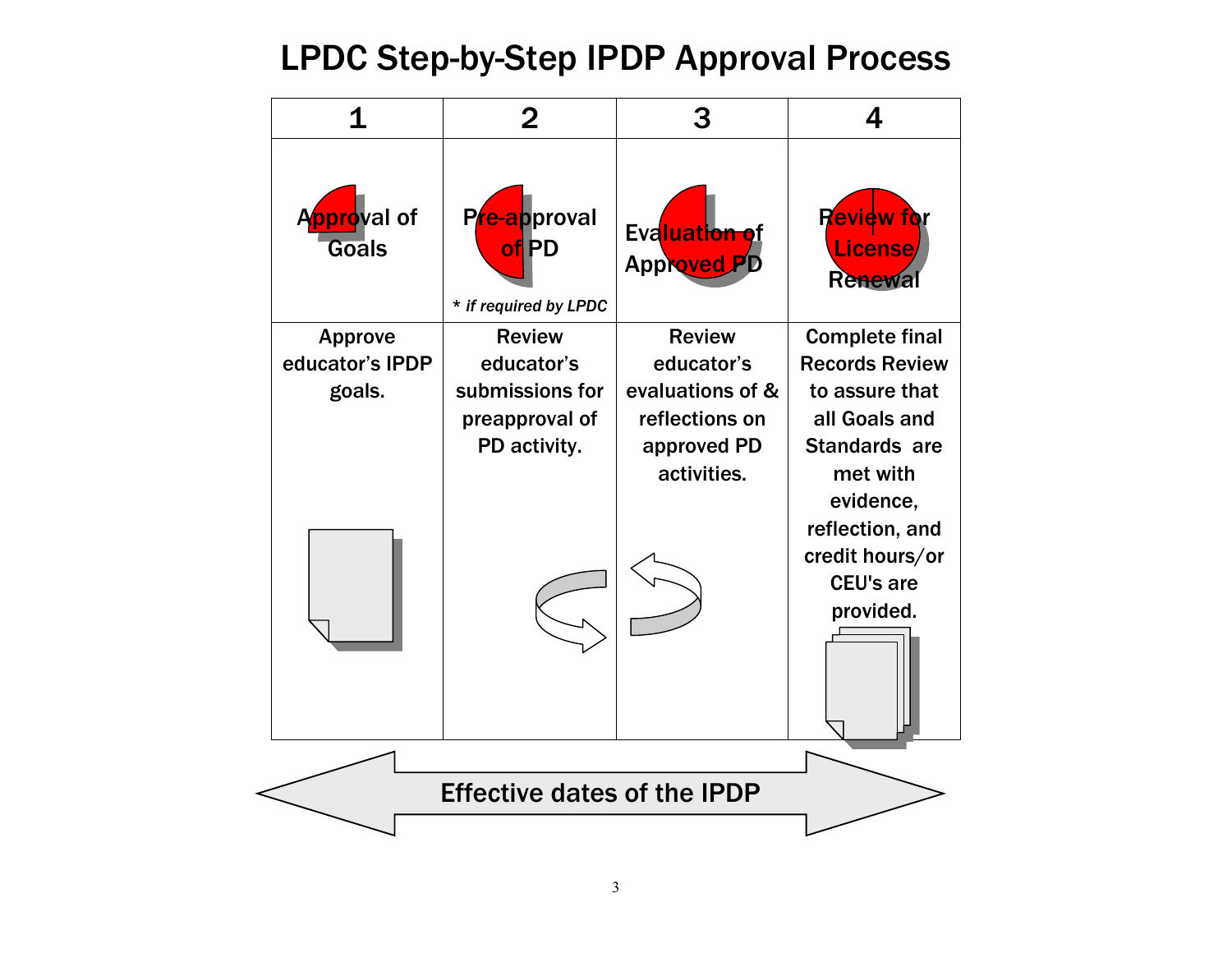### LPDC Step-by-Step IPDP Approval Process

| 1                           | $\mathbf{2}$                                   | 3                                   | 4                                              |
|-----------------------------|------------------------------------------------|-------------------------------------|------------------------------------------------|
| Approval of<br><b>Goals</b> | Pre-approval<br>of PD<br>* if required by LPDC | Evaluation of<br><b>Approved PD</b> | <b>Review for</b><br><b>License</b><br>Renewal |
| <b>Approve</b>              | <b>Review</b>                                  | <b>Review</b>                       | <b>Complete final</b>                          |
| educator's IPDP             | educator's                                     | educator's                          | <b>Records Review</b>                          |
| goals.                      | submissions for<br>preapproval of              | evaluations of &<br>reflections on  | to assure that<br>all Goals and                |
|                             | PD activity.                                   | approved PD                         | <b>Standards are</b>                           |
|                             |                                                | activities.                         | met with                                       |
|                             |                                                |                                     | evidence,                                      |
|                             |                                                |                                     | reflection, and                                |
|                             |                                                |                                     | credit hours/or<br><b>CEU's are</b>            |
|                             |                                                |                                     | provided.                                      |
|                             |                                                |                                     |                                                |
|                             |                                                |                                     |                                                |
|                             | <b>Effective dates of the IPDP</b>             |                                     |                                                |
|                             |                                                |                                     |                                                |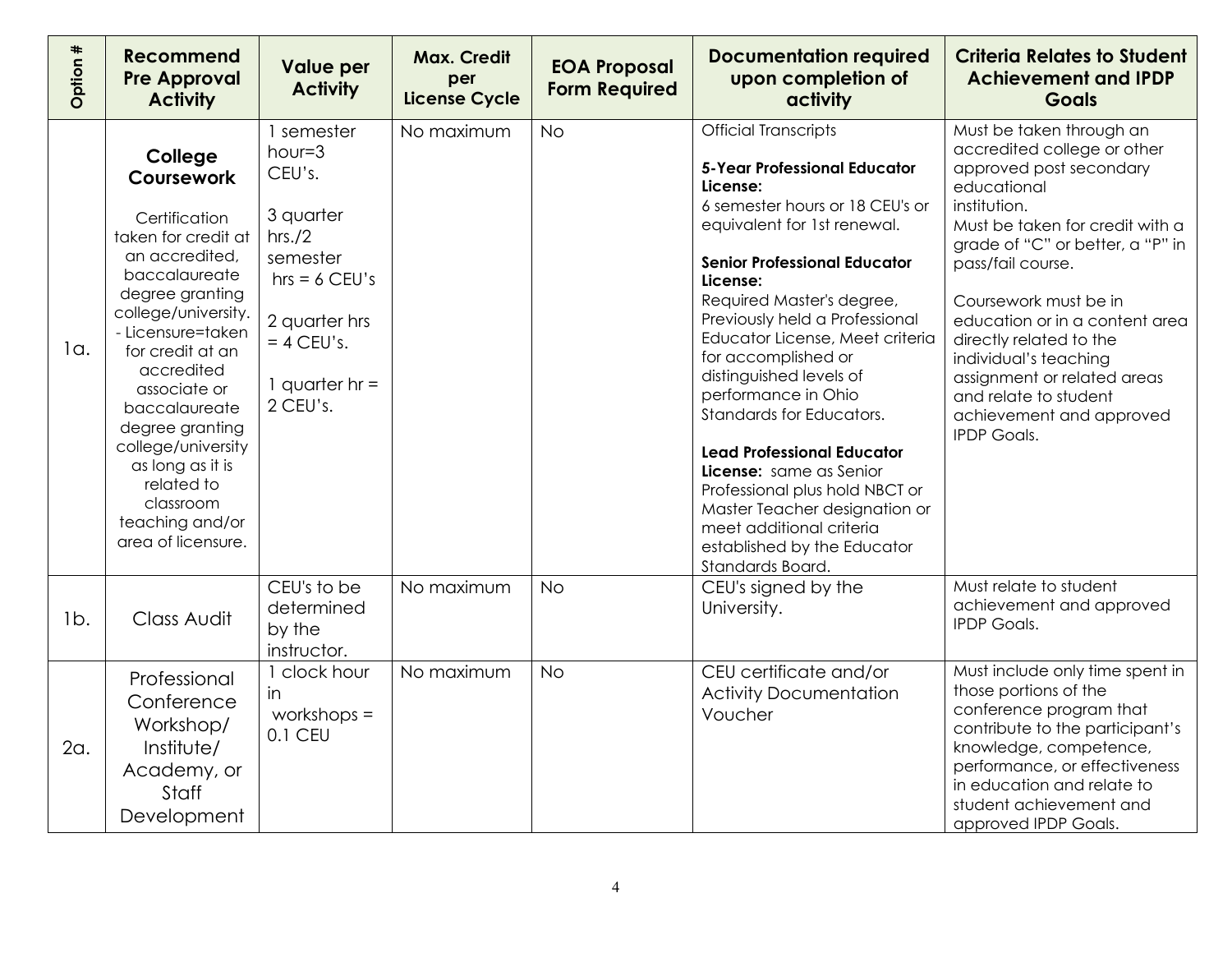| Option # | <b>Recommend</b><br><b>Pre Approval</b><br><b>Activity</b>                                                                                                                                                                                                                                                                                                          | <b>Value per</b><br><b>Activity</b>                                                                                                                       | <b>Max. Credit</b><br>per<br><b>License Cycle</b> | <b>EOA Proposal</b><br><b>Form Required</b> | <b>Documentation required</b><br>upon completion of<br>activity                                                                                                                                                                                                                                                                                                                                                                                                                                                                                                                                                              | <b>Criteria Relates to Student</b><br><b>Achievement and IPDP</b><br><b>Goals</b>                                                                                                                                                                                                                                                                                                                                               |
|----------|---------------------------------------------------------------------------------------------------------------------------------------------------------------------------------------------------------------------------------------------------------------------------------------------------------------------------------------------------------------------|-----------------------------------------------------------------------------------------------------------------------------------------------------------|---------------------------------------------------|---------------------------------------------|------------------------------------------------------------------------------------------------------------------------------------------------------------------------------------------------------------------------------------------------------------------------------------------------------------------------------------------------------------------------------------------------------------------------------------------------------------------------------------------------------------------------------------------------------------------------------------------------------------------------------|---------------------------------------------------------------------------------------------------------------------------------------------------------------------------------------------------------------------------------------------------------------------------------------------------------------------------------------------------------------------------------------------------------------------------------|
| 1a.      | College<br>Coursework<br>Certification<br>taken for credit at<br>an accredited,<br>baccalaureate<br>degree granting<br>college/university.<br>- Licensure=taken<br>for credit at an<br>accredited<br>associate or<br>baccalaureate<br>degree granting<br>college/university<br>as long as it is<br>related to<br>classroom<br>teaching and/or<br>area of licensure. | 1 semester<br>$hour = 3$<br>CEU's.<br>3 quarter<br>hrs./2<br>semester<br>$hrs = 6$ CEU's<br>2 quarter hrs<br>$= 4$ CEU's.<br>1 quarter $hr =$<br>2 CEU's. | No maximum                                        | <b>No</b>                                   | <b>Official Transcripts</b><br><b>5-Year Professional Educator</b><br>License:<br>6 semester hours or 18 CEU's or<br>equivalent for 1st renewal.<br><b>Senior Professional Educator</b><br>License:<br>Required Master's degree,<br>Previously held a Professional<br>Educator License, Meet criteria<br>for accomplished or<br>distinguished levels of<br>performance in Ohio<br>Standards for Educators.<br><b>Lead Professional Educator</b><br>License: same as Senior<br>Professional plus hold NBCT or<br>Master Teacher designation or<br>meet additional criteria<br>established by the Educator<br>Standards Board. | Must be taken through an<br>accredited college or other<br>approved post secondary<br>educational<br>institution.<br>Must be taken for credit with a<br>grade of "C" or better, a "P" in<br>pass/fail course.<br>Coursework must be in<br>education or in a content area<br>directly related to the<br>individual's teaching<br>assignment or related areas<br>and relate to student<br>achievement and approved<br>IPDP Goals. |
| $1b$ .   | Class Audit                                                                                                                                                                                                                                                                                                                                                         | CEU's to be<br>determined<br>by the<br>instructor.                                                                                                        | No maximum                                        | <b>No</b>                                   | CEU's signed by the<br>University.                                                                                                                                                                                                                                                                                                                                                                                                                                                                                                                                                                                           | Must relate to student<br>achievement and approved<br><b>IPDP Goals.</b>                                                                                                                                                                                                                                                                                                                                                        |
| 2a.      | Professional<br>Conference<br>Workshop/<br>Institute/<br>Academy, or<br>Staff<br>Development                                                                                                                                                                                                                                                                        | 1 clock hour<br>in<br>workshops $=$<br>0.1 CEU                                                                                                            | No maximum                                        | <b>No</b>                                   | CEU certificate and/or<br><b>Activity Documentation</b><br>Voucher                                                                                                                                                                                                                                                                                                                                                                                                                                                                                                                                                           | Must include only time spent in<br>those portions of the<br>conference program that<br>contribute to the participant's<br>knowledge, competence,<br>performance, or effectiveness<br>in education and relate to<br>student achievement and<br>approved IPDP Goals.                                                                                                                                                              |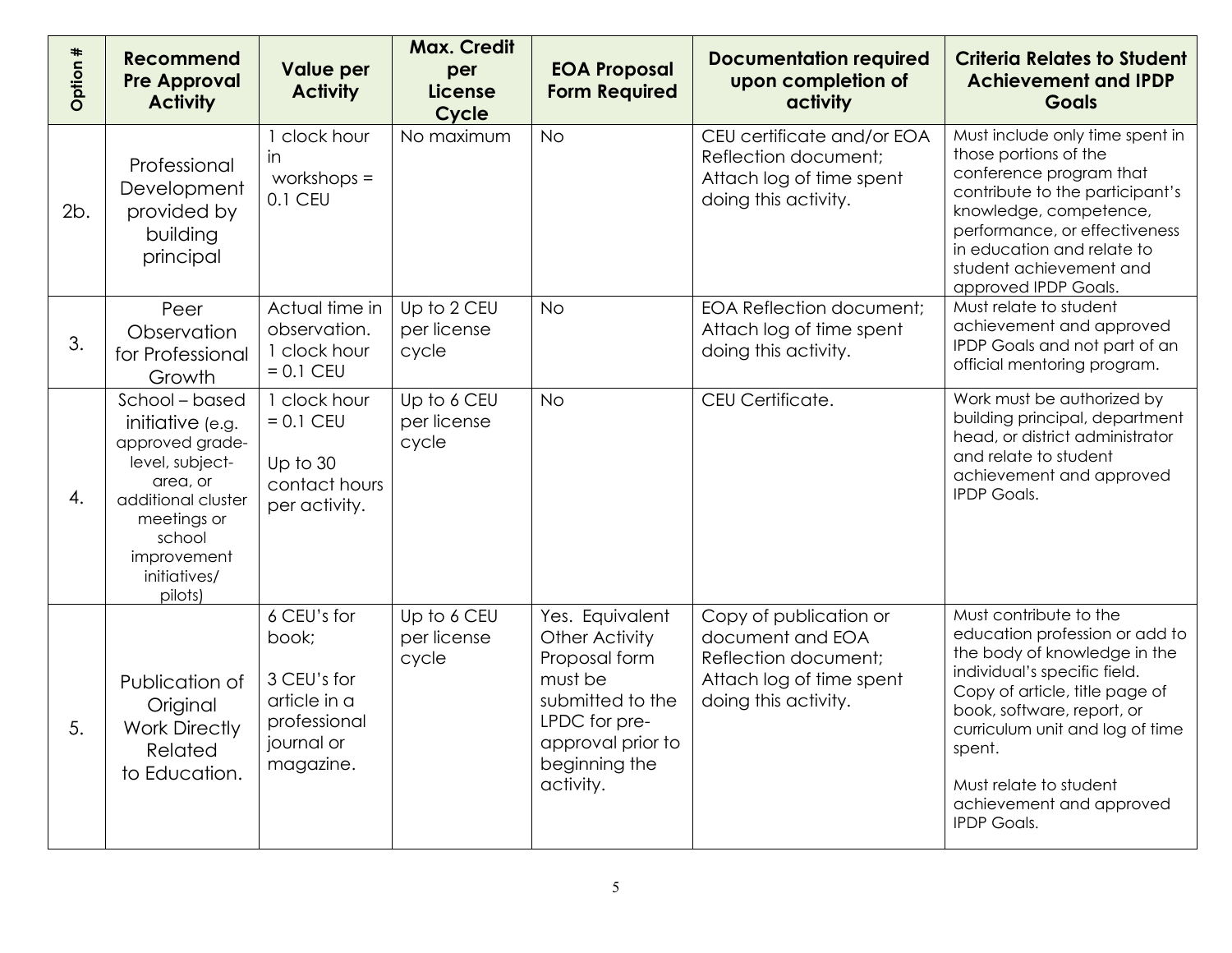| Option # | <b>Recommend</b><br><b>Pre Approval</b><br><b>Activity</b>                                                                                                                    | <b>Value per</b><br><b>Activity</b>                                                            | <b>Max. Credit</b><br>per<br><b>License</b><br>Cycle | <b>EOA Proposal</b><br><b>Form Required</b>                                                                                                           | <b>Documentation required</b><br>upon completion of<br>activity                                                        | <b>Criteria Relates to Student</b><br><b>Achievement and IPDP</b><br><b>Goals</b>                                                                                                                                                                                                                                 |
|----------|-------------------------------------------------------------------------------------------------------------------------------------------------------------------------------|------------------------------------------------------------------------------------------------|------------------------------------------------------|-------------------------------------------------------------------------------------------------------------------------------------------------------|------------------------------------------------------------------------------------------------------------------------|-------------------------------------------------------------------------------------------------------------------------------------------------------------------------------------------------------------------------------------------------------------------------------------------------------------------|
| 2b.      | Professional<br>Development<br>provided by<br>building<br>principal                                                                                                           | clock hour<br><i>in</i><br>workshops $=$<br>0.1 CEU                                            | No maximum                                           | <b>No</b>                                                                                                                                             | CEU certificate and/or EOA<br>Reflection document;<br>Attach log of time spent<br>doing this activity.                 | Must include only time spent in<br>those portions of the<br>conference program that<br>contribute to the participant's<br>knowledge, competence,<br>performance, or effectiveness<br>in education and relate to<br>student achievement and<br>approved IPDP Goals.                                                |
| 3.       | Peer<br>Observation<br>for Professional<br>Growth                                                                                                                             | Actual time in<br>observation.<br>1 clock hour<br>$= 0.1$ CEU                                  | Up to 2 CEU<br>per license<br>cycle                  | <b>No</b>                                                                                                                                             | <b>EOA Reflection document;</b><br>Attach log of time spent<br>doing this activity.                                    | Must relate to student<br>achievement and approved<br>IPDP Goals and not part of an<br>official mentoring program.                                                                                                                                                                                                |
| 4.       | School - based<br>initiative (e.g.<br>approved grade-<br>level, subject-<br>area, or<br>additional cluster<br>meetings or<br>school<br>improvement<br>initiatives/<br>pilots) | 1 clock hour<br>$= 0.1$ CEU<br>Up to 30<br>contact hours<br>per activity.                      | Up to 6 CEU<br>per license<br>cycle                  | <b>No</b>                                                                                                                                             | CEU Certificate.                                                                                                       | Work must be authorized by<br>building principal, department<br>head, or district administrator<br>and relate to student<br>achievement and approved<br><b>IPDP Goals.</b>                                                                                                                                        |
| 5.       | Publication of<br>Original<br><b>Work Directly</b><br>Related<br>to Education.                                                                                                | 6 CEU's for<br>book;<br>3 CEU's for<br>article in a<br>professional<br>journal or<br>magazine. | Up to 6 CEU<br>per license<br>cycle                  | Yes. Equivalent<br>Other Activity<br>Proposal form<br>must be<br>submitted to the<br>LPDC for pre-<br>approval prior to<br>beginning the<br>activity. | Copy of publication or<br>document and EOA<br>Reflection document;<br>Attach log of time spent<br>doing this activity. | Must contribute to the<br>education profession or add to<br>the body of knowledge in the<br>individual's specific field.<br>Copy of article, title page of<br>book, software, report, or<br>curriculum unit and log of time<br>spent.<br>Must relate to student<br>achievement and approved<br><b>IPDP Goals.</b> |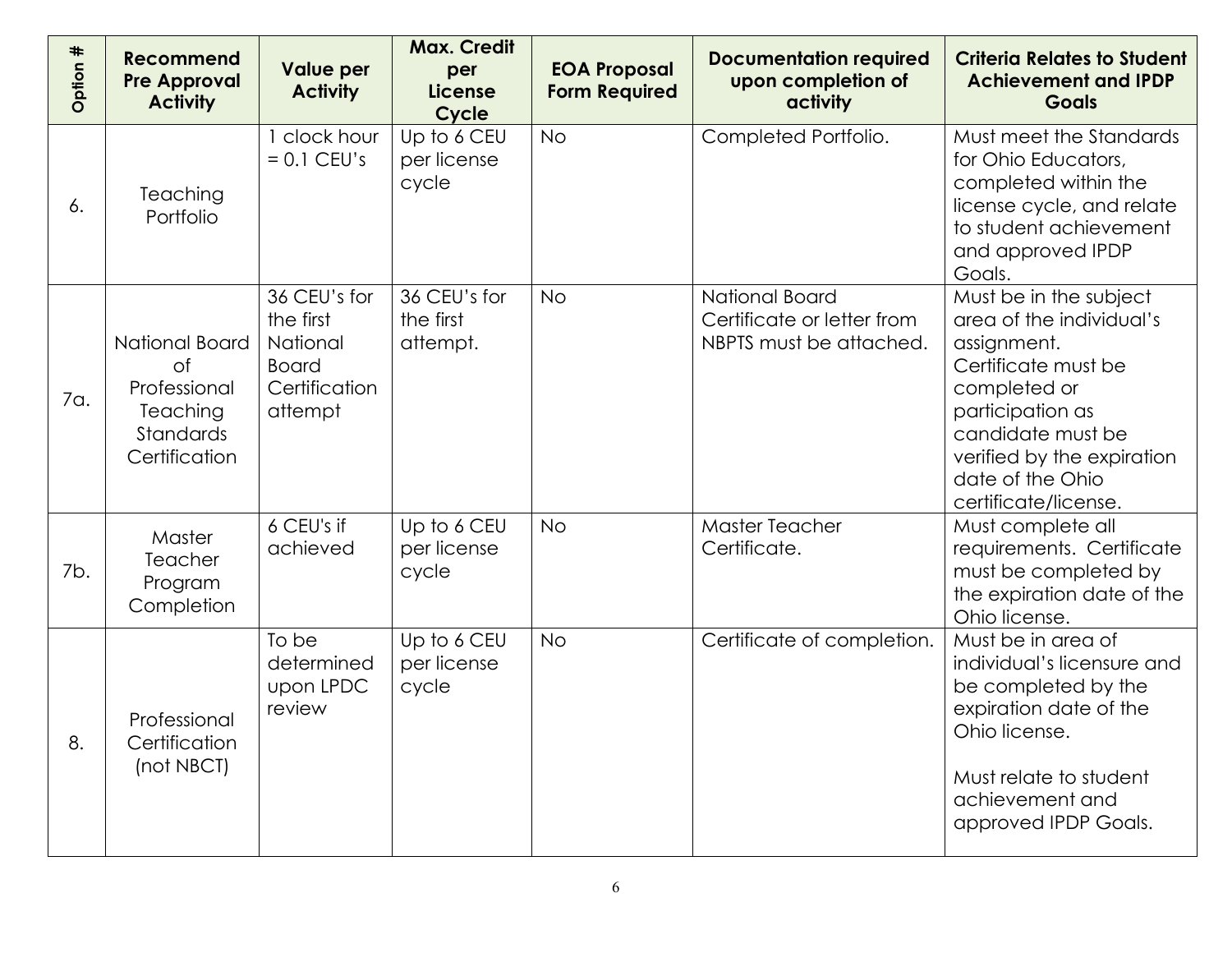| Option # | <b>Recommend</b><br><b>Pre Approval</b><br><b>Activity</b>                                   | <b>Value per</b><br><b>Activity</b>                                               | <b>Max. Credit</b><br>per<br><b>License</b><br>Cycle | <b>EOA Proposal</b><br><b>Form Required</b> | <b>Documentation required</b><br>upon completion of<br>activity         | <b>Criteria Relates to Student</b><br><b>Achievement and IPDP</b><br><b>Goals</b>                                                                                                                                           |
|----------|----------------------------------------------------------------------------------------------|-----------------------------------------------------------------------------------|------------------------------------------------------|---------------------------------------------|-------------------------------------------------------------------------|-----------------------------------------------------------------------------------------------------------------------------------------------------------------------------------------------------------------------------|
| 6.       | Teaching<br>Portfolio                                                                        | clock hour<br>$= 0.1$ CEU's                                                       | Up to 6 CEU<br>per license<br>cycle                  | <b>No</b>                                   | Completed Portfolio.                                                    | Must meet the Standards<br>for Ohio Educators,<br>completed within the<br>license cycle, and relate<br>to student achievement<br>and approved IPDP<br>Goals.                                                                |
| 7a.      | National Board<br>0f<br>Professional<br><b>Teaching</b><br><b>Standards</b><br>Certification | 36 CEU's for<br>the first<br>National<br><b>Board</b><br>Certification<br>attempt | 36 CEU's for<br>the first<br>attempt.                | <b>No</b>                                   | National Board<br>Certificate or letter from<br>NBPTS must be attached. | Must be in the subject<br>area of the individual's<br>assignment.<br>Certificate must be<br>completed or<br>participation as<br>candidate must be<br>verified by the expiration<br>date of the Ohio<br>certificate/license. |
| 7b.      | Master<br>Teacher<br>Program<br>Completion                                                   | 6 CEU's if<br>achieved                                                            | Up to 6 CEU<br>per license<br>cycle                  | <b>No</b>                                   | <b>Master Teacher</b><br>Certificate.                                   | Must complete all<br>requirements. Certificate<br>must be completed by<br>the expiration date of the<br>Ohio license.                                                                                                       |
| 8.       | Professional<br>Certification<br>(not NBCT)                                                  | To be<br>determined<br>upon LPDC<br>review                                        | Up to 6 CEU<br>per license<br>cycle                  | <b>No</b>                                   | Certificate of completion.                                              | Must be in area of<br>individual's licensure and<br>be completed by the<br>expiration date of the<br>Ohio license.<br>Must relate to student<br>achievement and<br>approved IPDP Goals.                                     |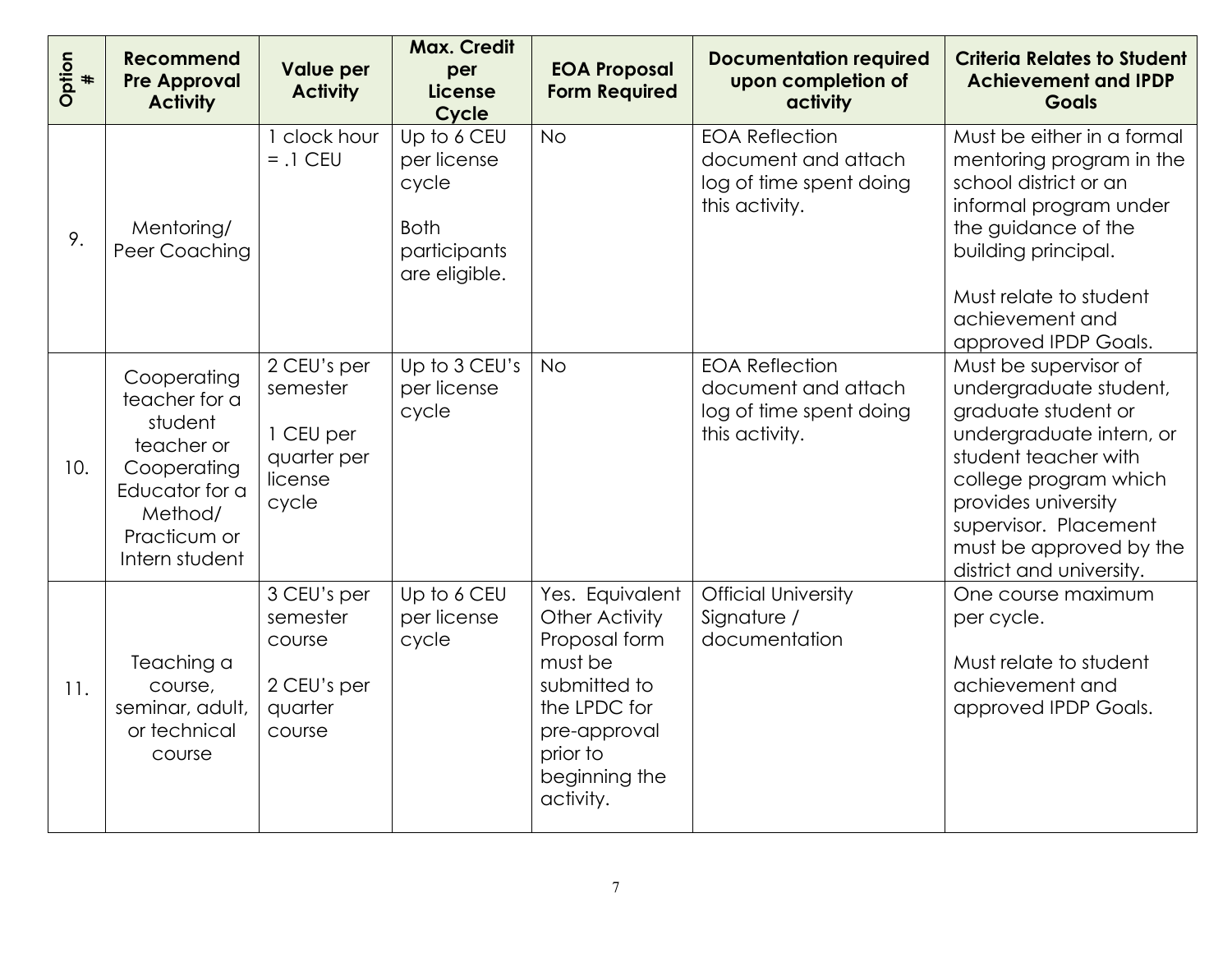| Option<br>$\ddagger$ | <b>Recommend</b><br><b>Pre Approval</b><br><b>Activity</b>                                                                          | <b>Value per</b><br><b>Activity</b>                                     | <b>Max. Credit</b><br>per<br><b>License</b><br>Cycle                                | <b>EOA Proposal</b><br><b>Form Required</b>                                                                                                                    | <b>Documentation required</b><br>upon completion of<br>activity                           | <b>Criteria Relates to Student</b><br><b>Achievement and IPDP</b><br><b>Goals</b>                                                                                                                                                                          |
|----------------------|-------------------------------------------------------------------------------------------------------------------------------------|-------------------------------------------------------------------------|-------------------------------------------------------------------------------------|----------------------------------------------------------------------------------------------------------------------------------------------------------------|-------------------------------------------------------------------------------------------|------------------------------------------------------------------------------------------------------------------------------------------------------------------------------------------------------------------------------------------------------------|
| 9.                   | Mentoring/<br>Peer Coaching                                                                                                         | 1 clock hour<br>$= .1$ CEU                                              | Up to 6 CEU<br>per license<br>cycle<br><b>Both</b><br>participants<br>are eligible. | <b>No</b>                                                                                                                                                      | <b>EOA Reflection</b><br>document and attach<br>log of time spent doing<br>this activity. | Must be either in a formal<br>mentoring program in the<br>school district or an<br>informal program under<br>the guidance of the<br>building principal.<br>Must relate to student<br>achievement and<br>approved IPDP Goals.                               |
| 10.                  | Cooperating<br>teacher for a<br>student<br>teacher or<br>Cooperating<br>Educator for a<br>Method/<br>Practicum or<br>Intern student | 2 CEU's per<br>semester<br>1 CEU per<br>quarter per<br>license<br>cycle | Up to 3 CEU's<br>per license<br>cycle                                               | <b>No</b>                                                                                                                                                      | <b>EOA Reflection</b><br>document and attach<br>log of time spent doing<br>this activity. | Must be supervisor of<br>undergraduate student,<br>graduate student or<br>undergraduate intern, or<br>student teacher with<br>college program which<br>provides university<br>supervisor. Placement<br>must be approved by the<br>district and university. |
| 11.                  | Teaching a<br>course,<br>seminar, adult,<br>or technical<br>course                                                                  | 3 CEU's per<br>semester<br>course<br>2 CEU's per<br>quarter<br>course   | Up to 6 CEU<br>per license<br>cycle                                                 | Yes. Equivalent<br><b>Other Activity</b><br>Proposal form<br>must be<br>submitted to<br>the LPDC for<br>pre-approval<br>prior to<br>beginning the<br>activity. | <b>Official University</b><br>Signature /<br>documentation                                | One course maximum<br>per cycle.<br>Must relate to student<br>achievement and<br>approved IPDP Goals.                                                                                                                                                      |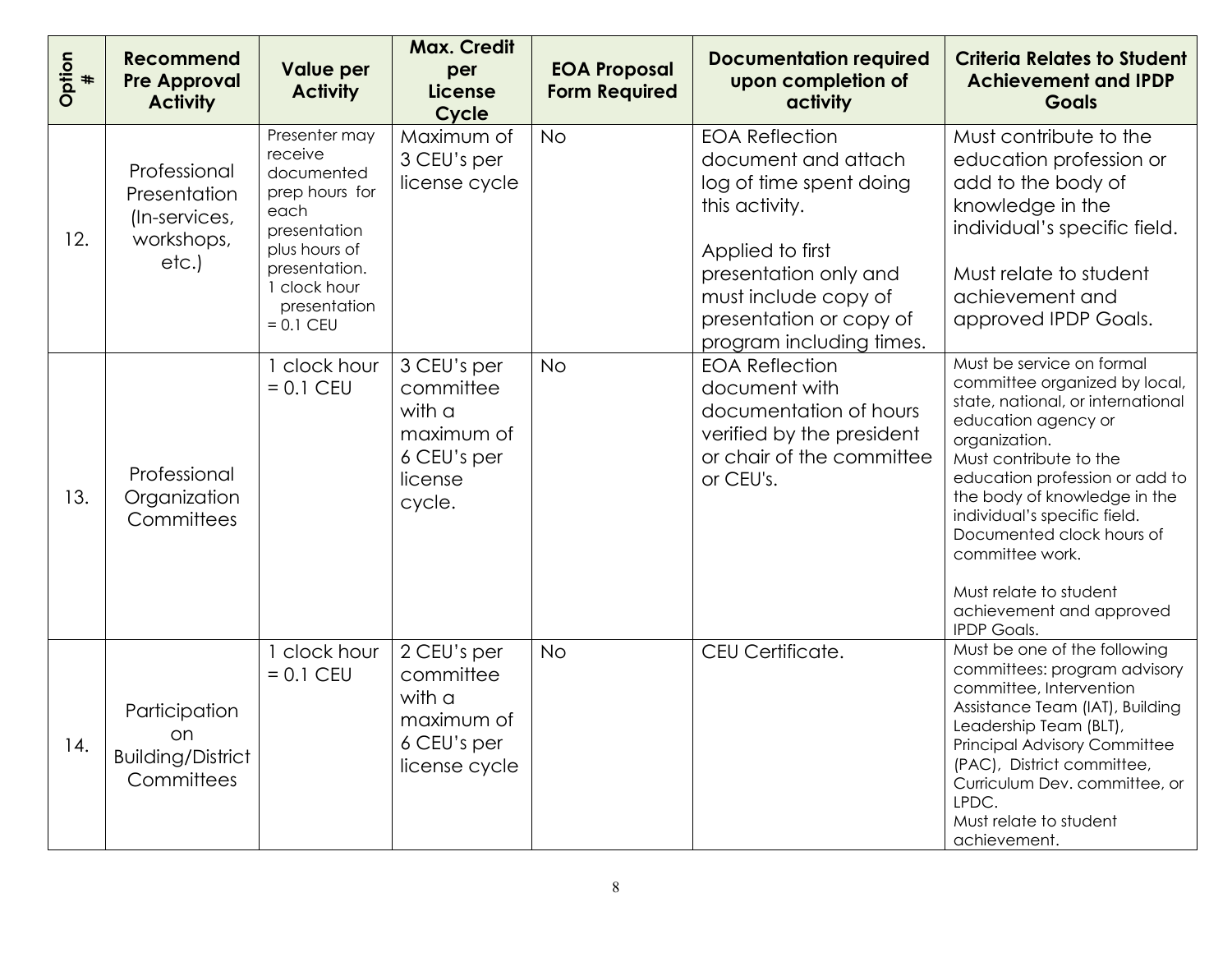| Option<br># | <b>Recommend</b><br><b>Pre Approval</b><br><b>Activity</b>          | <b>Value per</b><br><b>Activity</b>                                                                                                                             | <b>Max. Credit</b><br>per<br><b>License</b><br>Cycle                                 | <b>EOA Proposal</b><br><b>Form Required</b> | <b>Documentation required</b><br>upon completion of<br>activity                                                                                                                                                       | <b>Criteria Relates to Student</b><br><b>Achievement and IPDP</b><br><b>Goals</b>                                                                                                                                                                                                                                                                                                               |
|-------------|---------------------------------------------------------------------|-----------------------------------------------------------------------------------------------------------------------------------------------------------------|--------------------------------------------------------------------------------------|---------------------------------------------|-----------------------------------------------------------------------------------------------------------------------------------------------------------------------------------------------------------------------|-------------------------------------------------------------------------------------------------------------------------------------------------------------------------------------------------------------------------------------------------------------------------------------------------------------------------------------------------------------------------------------------------|
| 12.         | Professional<br>Presentation<br>(In-services,<br>workshops,<br>etc. | Presenter may<br>receive<br>documented<br>prep hours for<br>each<br>presentation<br>plus hours of<br>presentation.<br>clock hour<br>presentation<br>$= 0.1$ CEU | Maximum of<br>3 CEU's per<br>license cycle                                           | <b>No</b>                                   | <b>EOA Reflection</b><br>document and attach<br>log of time spent doing<br>this activity.<br>Applied to first<br>presentation only and<br>must include copy of<br>presentation or copy of<br>program including times. | Must contribute to the<br>education profession or<br>add to the body of<br>knowledge in the<br>individual's specific field.<br>Must relate to student<br>achievement and<br>approved IPDP Goals.                                                                                                                                                                                                |
| 13.         | Professional<br>Organization<br>Committees                          | clock hour<br>$= 0.1$ CEU                                                                                                                                       | 3 CEU's per<br>committee<br>with a<br>maximum of<br>6 CEU's per<br>license<br>cycle. | <b>No</b>                                   | <b>EOA Reflection</b><br>document with<br>documentation of hours<br>verified by the president<br>or chair of the committee<br>or CEU's.                                                                               | Must be service on formal<br>committee organized by local,<br>state, national, or international<br>education agency or<br>organization.<br>Must contribute to the<br>education profession or add to<br>the body of knowledge in the<br>individual's specific field.<br>Documented clock hours of<br>committee work.<br>Must relate to student<br>achievement and approved<br><b>IPDP Goals.</b> |
| 14.         | Participation<br>OH.<br><b>Building/District</b><br>Committees      | clock hour<br>$= 0.1$ CEU                                                                                                                                       | 2 CEU's per<br>committee<br>with a<br>maximum of<br>6 CEU's per<br>license cycle     | <b>No</b>                                   | CEU Certificate.                                                                                                                                                                                                      | Must be one of the following<br>committees: program advisory<br>committee, Intervention<br>Assistance Team (IAT), Building<br>Leadership Team (BLT),<br><b>Principal Advisory Committee</b><br>(PAC), District committee,<br>Curriculum Dev. committee, or<br>LPDC.<br>Must relate to student<br>achievement.                                                                                   |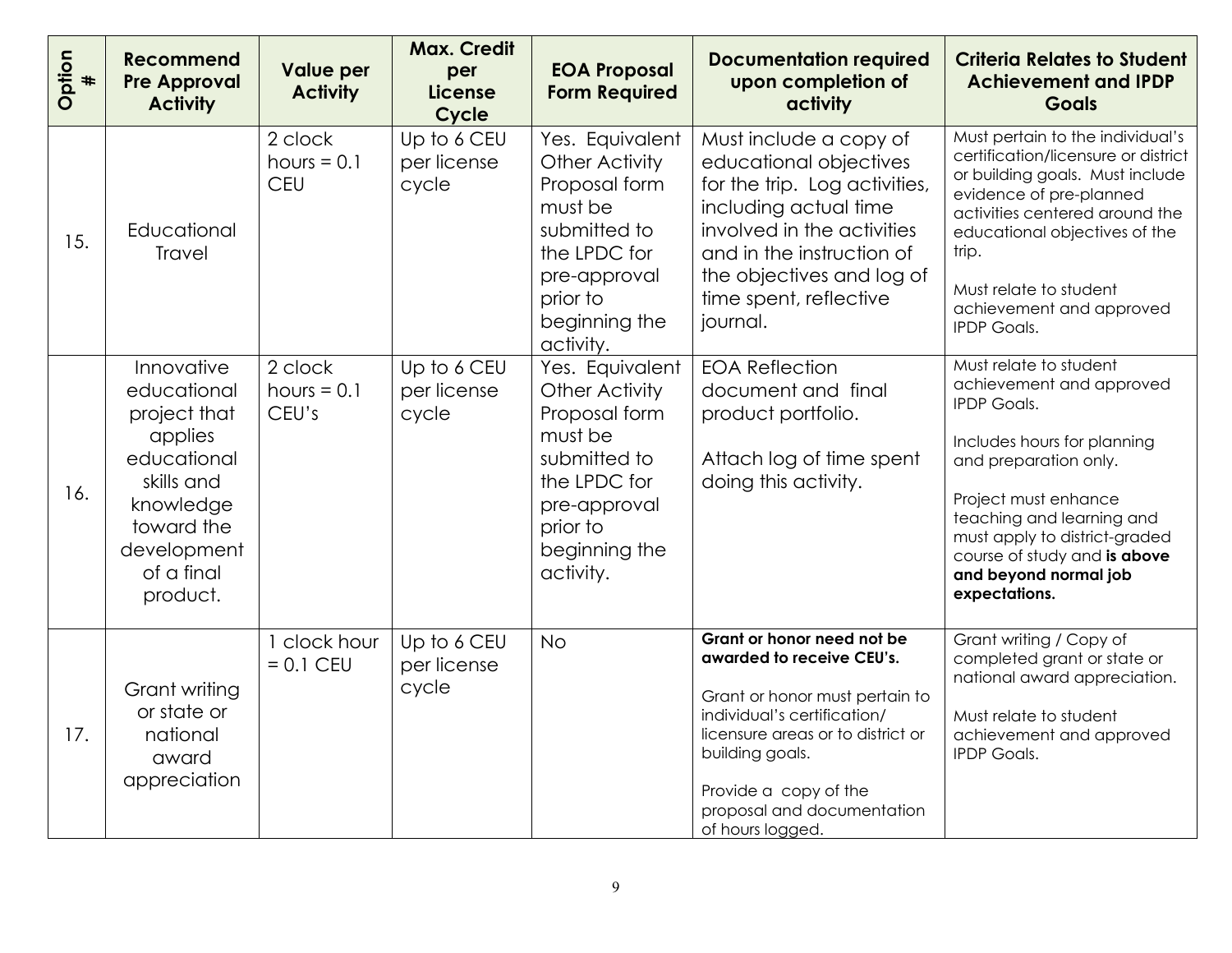| Option<br># | <b>Recommend</b><br><b>Pre Approval</b><br><b>Activity</b>                                                                                            | <b>Value per</b><br><b>Activity</b> | <b>Max. Credit</b><br>per<br><b>License</b><br>Cycle | <b>EOA Proposal</b><br><b>Form Required</b>                                                                                                             | <b>Documentation required</b><br>upon completion of<br>activity                                                                                                                                                                                             | <b>Criteria Relates to Student</b><br><b>Achievement and IPDP</b><br><b>Goals</b>                                                                                                                                                                                                                |
|-------------|-------------------------------------------------------------------------------------------------------------------------------------------------------|-------------------------------------|------------------------------------------------------|---------------------------------------------------------------------------------------------------------------------------------------------------------|-------------------------------------------------------------------------------------------------------------------------------------------------------------------------------------------------------------------------------------------------------------|--------------------------------------------------------------------------------------------------------------------------------------------------------------------------------------------------------------------------------------------------------------------------------------------------|
| 15.         | Educational<br><b>Travel</b>                                                                                                                          | 2 clock<br>hours $= 0.1$<br>CEU     | Up to 6 CEU<br>per license<br>cycle                  | Yes. Equivalent<br>Other Activity<br>Proposal form<br>must be<br>submitted to<br>the LPDC for<br>pre-approval<br>prior to<br>beginning the<br>activity. | Must include a copy of<br>educational objectives<br>for the trip. Log activities,<br>including actual time<br>involved in the activities<br>and in the instruction of<br>the objectives and log of<br>time spent, reflective<br>journal.                    | Must pertain to the individual's<br>certification/licensure or district<br>or building goals. Must include<br>evidence of pre-planned<br>activities centered around the<br>educational objectives of the<br>trip.<br>Must relate to student<br>achievement and approved<br><b>IPDP Goals.</b>    |
| 16.         | Innovative<br>educational<br>project that<br>applies<br>educational<br>skills and<br>knowledge<br>toward the<br>development<br>of a final<br>product. | 2 clock<br>hours $= 0.1$<br>CEU's   | Up to 6 CEU<br>per license<br>cycle                  | Yes. Equivalent<br>Other Activity<br>Proposal form<br>must be<br>submitted to<br>the LPDC for<br>pre-approval<br>prior to<br>beginning the<br>activity. | <b>EOA Reflection</b><br>document and final<br>product portfolio.<br>Attach log of time spent<br>doing this activity.                                                                                                                                       | Must relate to student<br>achievement and approved<br><b>IPDP Goals.</b><br>Includes hours for planning<br>and preparation only.<br>Project must enhance<br>teaching and learning and<br>must apply to district-graded<br>course of study and is above<br>and beyond normal job<br>expectations. |
| 17.         | Grant writing<br>or state or<br>national<br>award<br>appreciation                                                                                     | clock hour<br>$= 0.1$ CEU           | Up to 6 CEU<br>per license<br>cycle                  | <b>No</b>                                                                                                                                               | Grant or honor need not be<br>awarded to receive CEU's.<br>Grant or honor must pertain to<br>individual's certification/<br>licensure areas or to district or<br>building goals.<br>Provide a copy of the<br>proposal and documentation<br>of hours logged. | Grant writing / Copy of<br>completed grant or state or<br>national award appreciation.<br>Must relate to student<br>achievement and approved<br><b>IPDP Goals.</b>                                                                                                                               |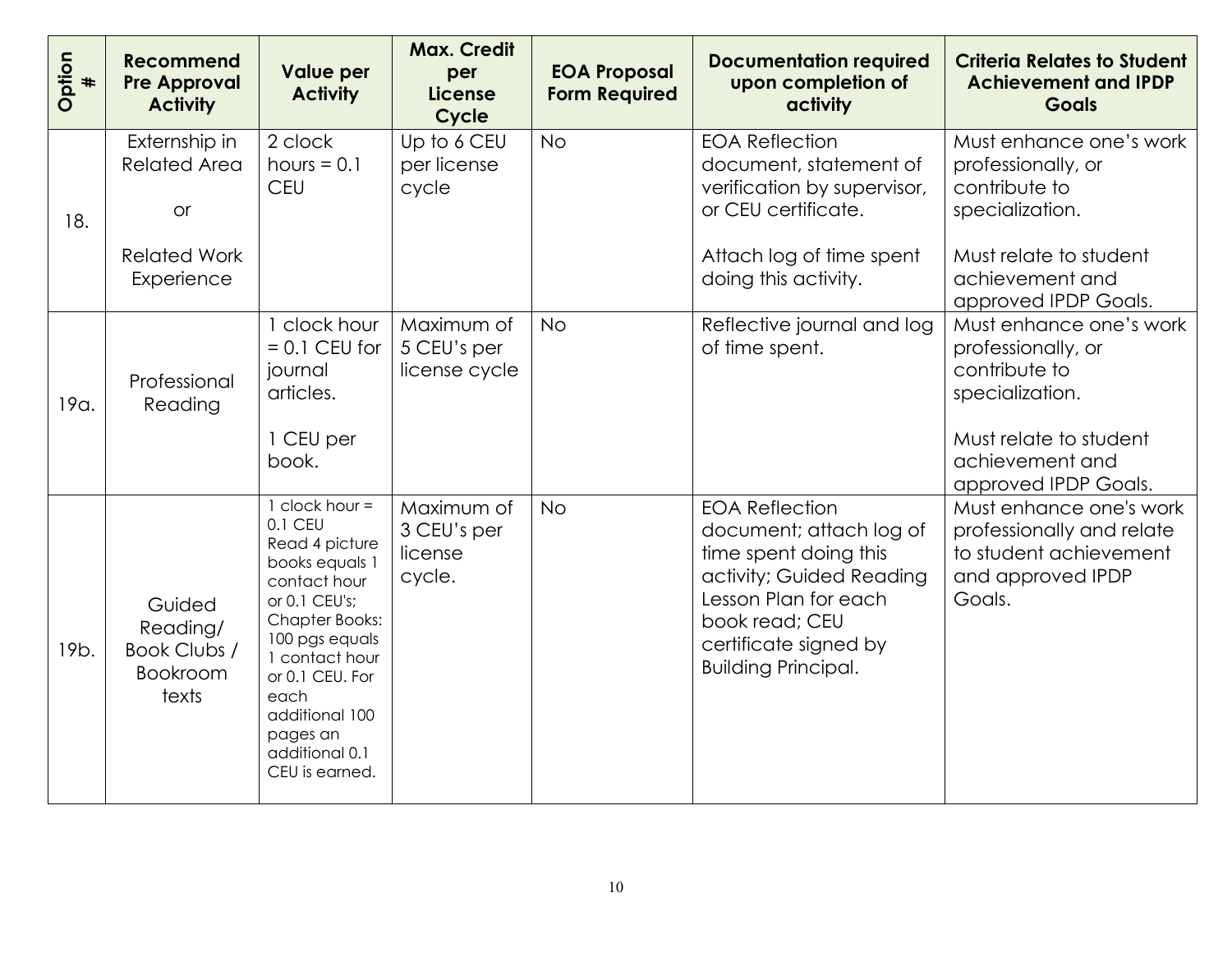| Option<br>$\ddagger$ | <b>Recommend</b><br><b>Pre Approval</b><br><b>Activity</b>                             | <b>Value per</b><br><b>Activity</b>                                                                                                                                                                                                                        | <b>Max. Credit</b><br>per<br><b>License</b><br>Cycle | <b>EOA Proposal</b><br><b>Form Required</b> | <b>Documentation required</b><br>upon completion of<br>activity                                                                                                                                        | <b>Criteria Relates to Student</b><br><b>Achievement and IPDP</b><br><b>Goals</b>                                                                      |
|----------------------|----------------------------------------------------------------------------------------|------------------------------------------------------------------------------------------------------------------------------------------------------------------------------------------------------------------------------------------------------------|------------------------------------------------------|---------------------------------------------|--------------------------------------------------------------------------------------------------------------------------------------------------------------------------------------------------------|--------------------------------------------------------------------------------------------------------------------------------------------------------|
| 18.                  | Externship in<br><b>Related Area</b><br><b>or</b><br><b>Related Work</b><br>Experience | 2 clock<br>hours $= 0.1$<br><b>CEU</b>                                                                                                                                                                                                                     | Up to 6 CEU<br>per license<br>cycle                  | <b>No</b>                                   | <b>EOA Reflection</b><br>document, statement of<br>verification by supervisor,<br>or CEU certificate.<br>Attach log of time spent<br>doing this activity.                                              | Must enhance one's work<br>professionally, or<br>contribute to<br>specialization.<br>Must relate to student<br>achievement and<br>approved IPDP Goals. |
| 19a.                 | Professional<br>Reading                                                                | clock hour<br>$= 0.1$ CEU for<br>journal<br>articles.<br>1 CEU per<br>book.                                                                                                                                                                                | Maximum of<br>5 CEU's per<br>license cycle           | <b>No</b>                                   | Reflective journal and log<br>of time spent.                                                                                                                                                           | Must enhance one's work<br>professionally, or<br>contribute to<br>specialization.<br>Must relate to student<br>achievement and<br>approved IPDP Goals. |
| 19 <sub>b</sub> .    | Guided<br>Reading/<br>Book Clubs /<br><b>Bookroom</b><br>texts                         | $1$ clock hour =<br>0.1 CEU<br>Read 4 picture<br>books equals 1<br>contact hour<br>or 0.1 CEU's;<br><b>Chapter Books:</b><br>100 pgs equals<br>1 contact hour<br>or 0.1 CEU. For<br>each<br>additional 100<br>pages an<br>additional 0.1<br>CEU is earned. | Maximum of<br>3 CEU's per<br>license<br>cycle.       | <b>No</b>                                   | <b>EOA Reflection</b><br>document; attach log of<br>time spent doing this<br>activity; Guided Reading<br>Lesson Plan for each<br>book read; CEU<br>certificate signed by<br><b>Building Principal.</b> | Must enhance one's work<br>professionally and relate<br>to student achievement<br>and approved IPDP<br>Goals.                                          |